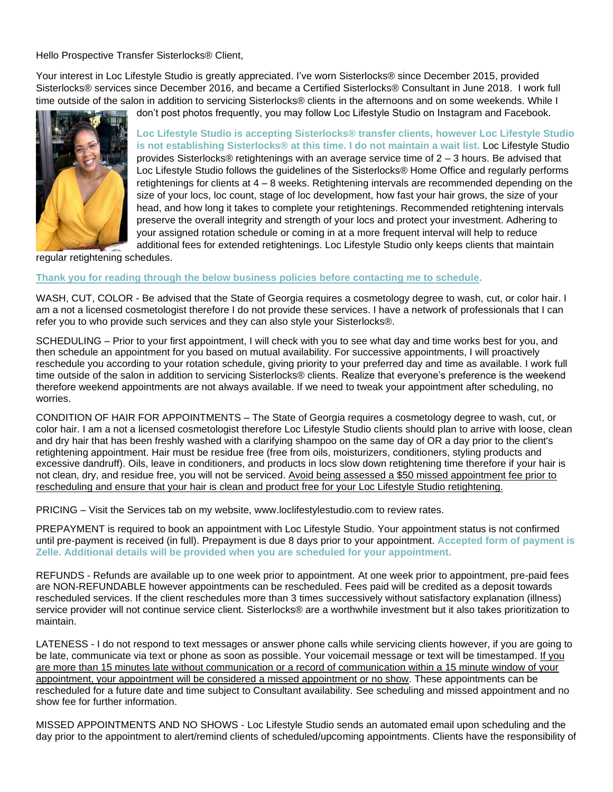Hello Prospective Transfer Sisterlocks® Client,

Your interest in Loc Lifestyle Studio is greatly appreciated. I've worn Sisterlocks® since December 2015, provided Sisterlocks® services since December 2016, and became a Certified Sisterlocks® Consultant in June 2018. I work full time outside of the salon in addition to servicing Sisterlocks® clients in the afternoons and on some weekends. While I



don't post photos frequently, you may follow Loc Lifestyle Studio on Instagram and Facebook.

**Loc Lifestyle Studio is accepting Sisterlocks® transfer clients, however Loc Lifestyle Studio is not establishing Sisterlocks® at this time. I do not maintain a wait list.** Loc Lifestyle Studio provides Sisterlocks® retightenings with an average service time of 2 – 3 hours. Be advised that Loc Lifestyle Studio follows the guidelines of the Sisterlocks® Home Office and regularly performs retightenings for clients at 4 – 8 weeks. Retightening intervals are recommended depending on the size of your locs, loc count, stage of loc development, how fast your hair grows, the size of your head, and how long it takes to complete your retightenings. Recommended retightening intervals preserve the overall integrity and strength of your locs and protect your investment. Adhering to your assigned rotation schedule or coming in at a more frequent interval will help to reduce additional fees for extended retightenings. Loc Lifestyle Studio only keeps clients that maintain

regular retightening schedules.

## **Thank you for reading through the below business policies before contacting me to schedule.**

WASH, CUT, COLOR - Be advised that the State of Georgia requires a cosmetology degree to wash, cut, or color hair. I am a not a licensed cosmetologist therefore I do not provide these services. I have a network of professionals that I can refer you to who provide such services and they can also style your Sisterlocks®.

SCHEDULING – Prior to your first appointment, I will check with you to see what day and time works best for you, and then schedule an appointment for you based on mutual availability. For successive appointments, I will proactively reschedule you according to your rotation schedule, giving priority to your preferred day and time as available. I work full time outside of the salon in addition to servicing Sisterlocks® clients. Realize that everyone's preference is the weekend therefore weekend appointments are not always available. If we need to tweak your appointment after scheduling, no worries.

CONDITION OF HAIR FOR APPOINTMENTS – The State of Georgia requires a cosmetology degree to wash, cut, or color hair. I am a not a licensed cosmetologist therefore Loc Lifestyle Studio clients should plan to arrive with loose, clean and dry hair that has been freshly washed with a clarifying shampoo on the same day of OR a day prior to the client's retightening appointment. Hair must be residue free (free from oils, moisturizers, conditioners, styling products and excessive dandruff). Oils, leave in conditioners, and products in locs slow down retightening time therefore if your hair is not clean, dry, and residue free, you will not be serviced. Avoid being assessed a \$50 missed appointment fee prior to rescheduling and ensure that your hair is clean and product free for your Loc Lifestyle Studio retightening.

PRICING – Visit the Services tab on my website, www.loclifestylestudio.com to review rates.

PREPAYMENT is required to book an appointment with Loc Lifestyle Studio. Your appointment status is not confirmed until pre-payment is received (in full). Prepayment is due 8 days prior to your appointment. **Accepted form of payment is Zelle. Additional details will be provided when you are scheduled for your appointment.**

REFUNDS - Refunds are available up to one week prior to appointment. At one week prior to appointment, pre-paid fees are NON-REFUNDABLE however appointments can be rescheduled. Fees paid will be credited as a deposit towards rescheduled services. If the client reschedules more than 3 times successively without satisfactory explanation (illness) service provider will not continue service client. Sisterlocks® are a worthwhile investment but it also takes prioritization to maintain.

LATENESS - I do not respond to text messages or answer phone calls while servicing clients however, if you are going to be late, communicate via text or phone as soon as possible. Your voicemail message or text will be timestamped. If you are more than 15 minutes late without communication or a record of communication within a 15 minute window of your appointment, your appointment will be considered a missed appointment or no show. These appointments can be rescheduled for a future date and time subject to Consultant availability. See scheduling and missed appointment and no show fee for further information.

MISSED APPOINTMENTS AND NO SHOWS - Loc Lifestyle Studio sends an automated email upon scheduling and the day prior to the appointment to alert/remind clients of scheduled/upcoming appointments. Clients have the responsibility of